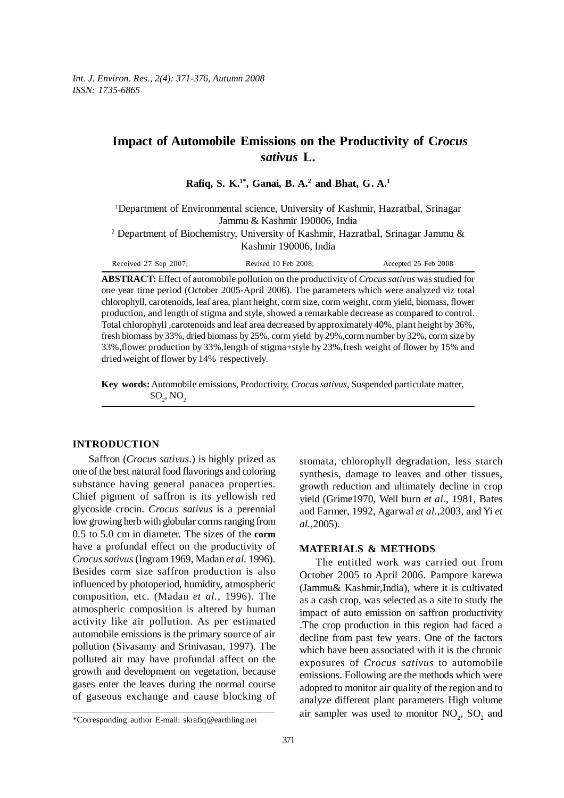*Int. J. Environ. Res., 2(4): 371-376, Autumn 2008 ISSN: 1735-6865*

# **Impact of Automobile Emissions on the Productivity of C***rocus sativus* **L.**

**Rafiq, S. K.1\*, Ganai, B. A.2 and Bhat, G. A.1**

<sup>1</sup>Department of Environmental science, University of Kashmir, Hazratbal, Srinagar Jammu & Kashmir 190006, India

<sup>2</sup> Department of Biochemistry, University of Kashmir, Hazratbal, Srinagar Jammu & Kashmir 190006, India

Received 27 Sep 2007; Revised 10 Feb 2008; Accepted 25 Feb 2008

**ABSTRACT:** Effect of automobile pollution on the productivity of *Crocus sativus* was studied for one year time period (October 2005-April 2006). The parameters which were analyzed viz total chlorophyll, carotenoids, leaf area, plant height, corm size, corm weight, corm yield, biomass, flower production, and length of stigma and style, showed a remarkable decrease as compared to control. Total chlorophyll ,carotenoids and leaf area decreased by approximately 40%, plant height by 36%, fresh biomass by 33%, dried biomass by 25%, corm yield by 29%,corm number by 32%, corm size by 33%,flower production by 33%,length of stigma+style by 23%,fresh weight of flower by 15% and dried weight of flower by 14% respectively*.*

**Key words:** Automobile emissions, Productivity, *Crocus sativus,* Suspended particulate matter,  $\text{SO}_2$ , NO<sub>2</sub>

## **INTRODUCTION**

Saffron (*Crocus sativus*.) is highly prized as one of the best natural food flavorings and coloring substance having general panacea properties. Chief pigment of saffron is its yellowish red glycoside crocin. *Crocus sativus* is a perennial low growing herb with globular corms ranging from 0.5 to 5.0 cm in diameter. The sizes of the **corm** have a profundal effect on the productivity of *Crocus sativus* (Ingram 1969, Madan *et al.* 1996). Besides corm size saffron production is also influenced by photoperiod, humidity, atmospheric composition, etc. (Madan *et al.,* 1996). The atmospheric composition is altered by human activity like air pollution. As per estimated automobile emissions is the primary source of air pollution (Sivasamy and Srinivasan, 1997). The polluted air may have profundal affect on the growth and development on vegetation, because gases enter the leaves during the normal course of gaseous exchange and cause blocking of

### **MATERIALS & METHODS**

The entitled work was carried out from October 2005 to April 2006. Pampore karewa (Jammu& Kashmir,India), where it is cultivated as a cash crop, was selected as a site to study the impact of auto emission on saffron productivity .The crop production in this region had faced a decline from past few years. One of the factors which have been associated with it is the chronic exposures of *Crocus sativus* to automobile emissions. Following are the methods which were adopted to monitor air quality of the region and to analyze different plant parameters High volume air sampler was used to monitor  $NO_2$ ,  $SO_2$  and

stomata, chlorophyll degradation, less starch synthesis, damage to leaves and other tissues, growth reduction and ultimately decline in crop yield (Grime1970, Well burn *et al.,* 1981, Bates and Farmer, 1992, Agarwal *et al.,*2003, and Yi *et al.,*2005).

<sup>\*</sup>Corresponding author E-mail: skrafiq@earthling.net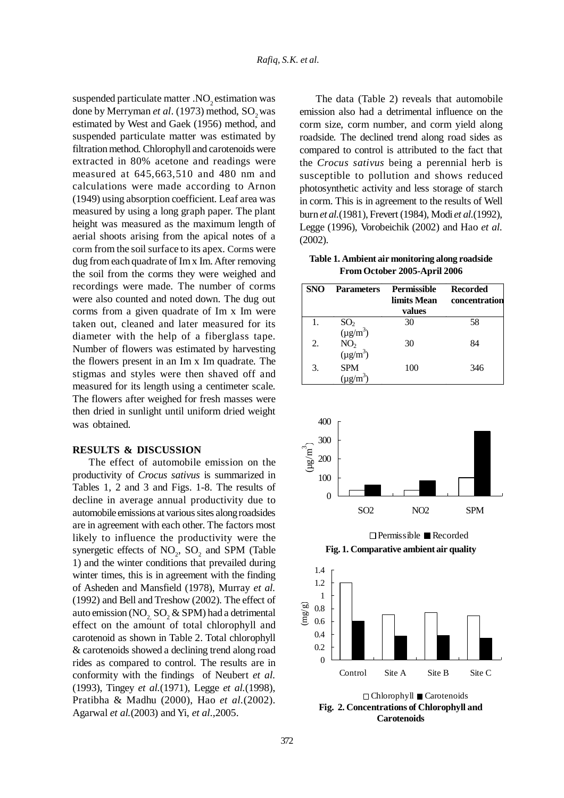suspended particulate matter  $NO<sub>2</sub>$  estimation was done by Merryman *et al.* (1973) method, SO<sub>2</sub> was estimated by West and Gaek (1956) method, and suspended particulate matter was estimated by filtration method. Chlorophyll and carotenoids were extracted in 80% acetone and readings were measured at 645,663,510 and 480 nm and calculations were made according to Arnon (1949) using absorption coefficient. Leaf area was measured by using a long graph paper. The plant height was measured as the maximum length of aerial shoots arising from the apical notes of a corm from the soil surface to its apex. Corms were dug from each quadrate of Im x Im. After removing the soil from the corms they were weighed and recordings were made. The number of corms were also counted and noted down. The dug out corms from a given quadrate of Im x Im were taken out, cleaned and later measured for its diameter with the help of a fiberglass tape. Number of flowers was estimated by harvesting the flowers present in an Im x Im quadrate. The stigmas and styles were then shaved off and measured for its length using a centimeter scale. The flowers after weighed for fresh masses were then dried in sunlight until uniform dried weight was obtained.

#### **RESULTS & DISCUSSION**

The effect of automobile emission on the productivity of *Crocus sativus* is summarized in Tables 1, 2 and 3 and Figs. 1-8. The results of decline in average annual productivity due to automobile emissions at various sites along roadsides are in agreement with each other. The factors most likely to influence the productivity were the synergetic effects of  $NO_2$ ,  $SO_2$  and SPM (Table 1) and the winter conditions that prevailed during winter times, this is in agreement with the finding of Asheden and Mansfield (1978), Murray *et al.* (1992) and Bell and Treshow (2002). The effect of auto emission (NO<sub>2,</sub> SO<sub>2</sub> & SPM) had a detrimental effect on the amount of total chlorophyll and carotenoid as shown in Table 2. Total chlorophyll & carotenoids showed a declining trend along road rides as compared to control. The results are in conformity with the findings of Neubert *et al.* (1993), Tingey *et al.*(1971), Legge *et al.*(1998), Pratibha & Madhu (2000), Hao *et al.*(2002). Agarwal *et al.*(2003) and Yi, *et al.,*2005.

The data (Table 2) reveals that automobile emission also had a detrimental influence on the corm size, corm number, and corm yield along roadside. The declined trend along road sides as compared to control is attributed to the fact that the *Crocus sativus* being a perennial herb is susceptible to pollution and shows reduced photosynthetic activity and less storage of starch in corm. This is in agreement to the results of Well burn *et al.*(1981), Frevert (1984), Modi *et al.*(1992), Legge (1996), Vorobeichik (2002) and Hao *et al.* (2002).

**Table 1. Ambient air monitoring along roadside From October 2005-April 2006**

| <b>SNO</b> | <b>Parameters</b>                    | <b>Permissible</b><br>limits Mean<br>values | <b>Recorded</b><br>concentration |
|------------|--------------------------------------|---------------------------------------------|----------------------------------|
|            | $SO_2$<br>( $\mu$ g/m <sup>3</sup> ) | 30                                          | 58                               |
| 2.         | NO <sub>2</sub><br>$(\mu g/m^3)$     | 30                                          | 84                               |
| 3.         | <b>SPM</b><br>$(\mu g/m^3)$          | 100                                         | 346                              |



Permissible Recorded

**Fig. 1. Comparative ambient air quality**



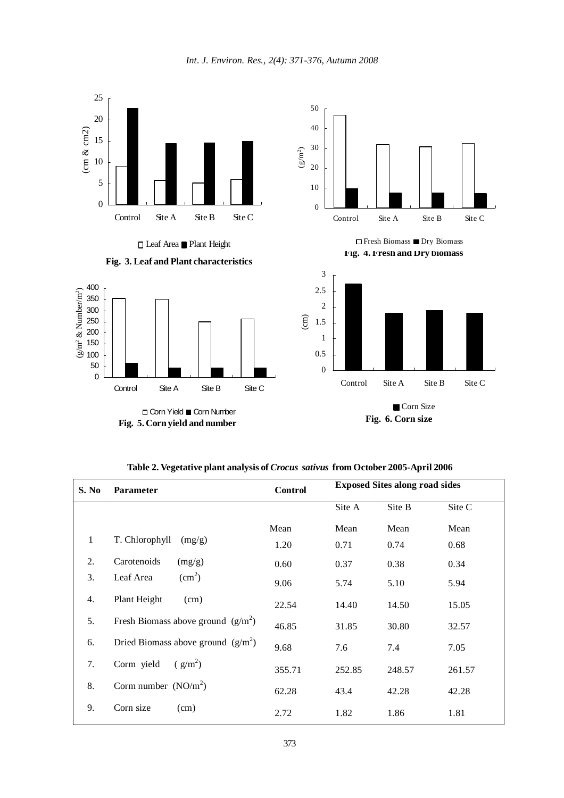

Leaf Area Plant Height





**Fig. 5. Corn yield and number**



**Fig. 4. Fresh and Dry biomass**  $\hfill\Box$  Fresh Biomass  $\hfill\blacksquare$  <br> Dry Biomass



**Table 2. Vegetative plant analysis of** *Crocus sativus* **from October 2005-April 2006**

| <b>S. No</b> | Parameter                            | <b>Control</b> | <b>Exposed Sites along road sides</b> |        |        |
|--------------|--------------------------------------|----------------|---------------------------------------|--------|--------|
|              |                                      |                | Site A                                | Site B | Site C |
|              |                                      | Mean           | Mean                                  | Mean   | Mean   |
| $\mathbf{1}$ | T. Chlorophyll<br>(mg/g)             | 1.20           | 0.71                                  | 0.74   | 0.68   |
| 2.           | Carotenoids<br>(mg/g)                | 0.60           | 0.37                                  | 0.38   | 0.34   |
| 3.           | $\text{cm}^2$ )<br>Leaf Area         | 9.06           | 5.74                                  | 5.10   | 5.94   |
| 4.           | Plant Height<br>(cm)                 | 22.54          | 14.40                                 | 14.50  | 15.05  |
| 5.           | Fresh Biomass above ground $(g/m^2)$ | 46.85          | 31.85                                 | 30.80  | 32.57  |
| 6.           | Dried Biomass above ground $(g/m^2)$ | 9.68           | 7.6                                   | 7.4    | 7.05   |
| 7.           | $(g/m^2)$<br>Corm yield              | 355.71         | 252.85                                | 248.57 | 261.57 |
| 8.           | Corm number $(NO/m2)$                | 62.28          | 43.4                                  | 42.28  | 42.28  |
| 9.           | Corn size<br>(cm)                    | 2.72           | 1.82                                  | 1.86   | 1.81   |

*Int. J. Environ. Res., 2(4): 371-376, Autumn 2008*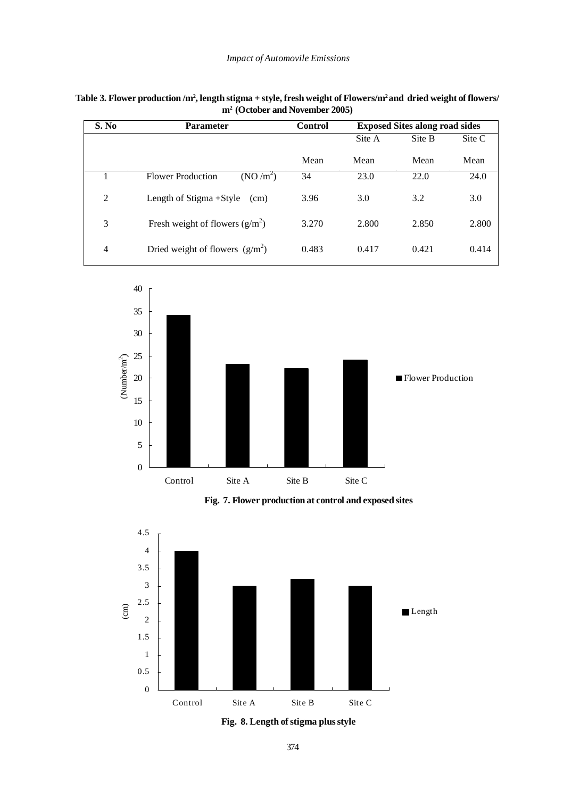| S. No          | <b>Parameter</b>                                 | <b>Control</b> | <b>Exposed Sites along road sides</b> |        |        |
|----------------|--------------------------------------------------|----------------|---------------------------------------|--------|--------|
|                |                                                  |                | Site A                                | Site B | Site C |
|                |                                                  | Mean           | Mean                                  | Mean   | Mean   |
| 1              | (NO/m <sup>2</sup> )<br><b>Flower Production</b> | 34             | 23.0                                  | 22.0   | 24.0   |
| $\overline{2}$ | Length of Stigma + Style<br>(cm)                 | 3.96           | 3.0                                   | 3.2    | 3.0    |
| 3              | Fresh weight of flowers $(g/m^2)$                | 3.270          | 2.800                                 | 2.850  | 2.800  |
| 4              | Dried weight of flowers $(g/m^2)$                | 0.483          | 0.417                                 | 0.421  | 0.414  |

| Table 3. Flower production /m², length stigma + style, fresh weight of Flowers/m² and dried weight of flowers/ |  |
|----------------------------------------------------------------------------------------------------------------|--|
| $m2$ (October and November 2005)                                                                               |  |



**Fig. 7. Flower production at control and exposed sites**





374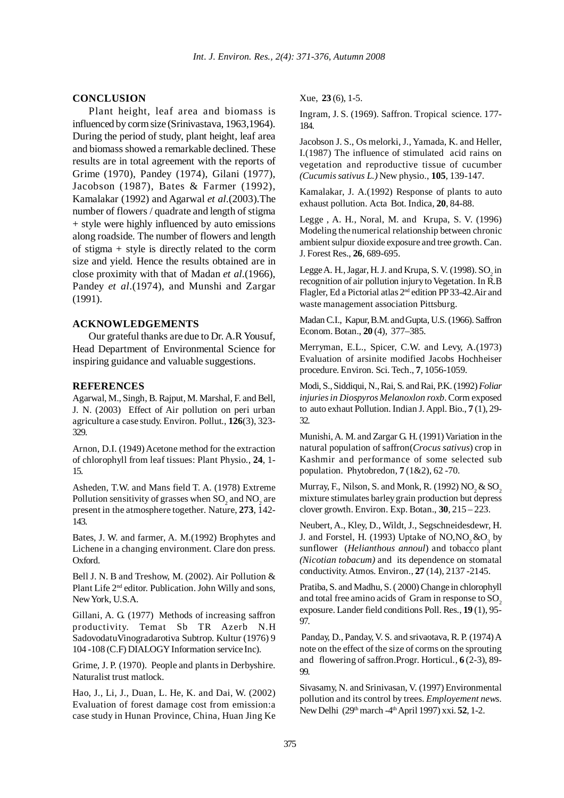# **CONCLUSION**

Plant height, leaf area and biomass is influenced by corm size (Srinivastava, 1963,1964). During the period of study, plant height, leaf area and biomass showed a remarkable declined. These results are in total agreement with the reports of Grime (1970), Pandey (1974), Gilani (1977), Jacobson (1987), Bates & Farmer (1992), Kamalakar (1992) and Agarwal *et al*.(2003).The number of flowers / quadrate and length of stigma + style were highly influenced by auto emissions along roadside. The number of flowers and length of stigma + style is directly related to the corm size and yield. Hence the results obtained are in close proximity with that of Madan *et al*.(1966), Pandey *et al*.(1974), and Munshi and Zargar (1991).

#### **ACKNOWLEDGEMENTS**

Our grateful thanks are due to Dr. A.R Yousuf, Head Department of Environmental Science for inspiring guidance and valuable suggestions.

#### **REFERENCES**

Agarwal, M., Singh, B. Rajput, M. Marshal, F. and Bell, J. N. (2003) Effect of Air pollution on peri urban agriculture a case study. Environ. Pollut., **126**(3), 323- 329.

Arnon, D.I. (1949) Acetone method for the extraction of chlorophyll from leaf tissues: Plant Physio., **24**, 1- 15.

Asheden, T.W. and Mans field T. A. (1978) Extreme Pollution sensitivity of grasses when  $\mathrm{SO}_2$  and  $\mathrm{NO}_2$  are present in the atmosphere together. Nature, **273**, 142- 143.

Bates, J. W. and farmer, A. M.(1992) Brophytes and Lichene in a changing environment. Clare don press. Oxford.

Bell J. N. B and Treshow, M. (2002). Air Pollution & Plant Life 2<sup>nd</sup> editor. Publication. John Willy and sons, New York, U.S.A.

Gillani, A. G. (1977) Methods of increasing saffron productivity. Temat Sb TR Azerb N.H SadovodatuVinogradarotiva Subtrop*.* Kultur (1976) 9 104 -108 (C.F) DIALOGY Information service Inc).

Grime, J. P. (1970). People and plants in Derbyshire. Naturalist trust matlock.

Hao, J., Li, J., Duan, L. He, K. and Dai, W. (2002) Evaluation of forest damage cost from emission:a case study in Hunan Province, China, Huan Jing Ke Xue, **23** (6), 1-5.

Ingram, J. S. (1969). Saffron. Tropical science. 177- 184.

Jacobson J. S., Os melorki, J., Yamada, K. and Heller, I.(1987) The influence of stimulated acid rains on vegetation and reproductive tissue of cucumber *(Cucumis sativus L.)* New physio., **105**, 139-147.

Kamalakar, J. A.(1992) Response of plants to auto exhaust pollution. Acta Bot. Indica*,* **20**, 84-88.

Legge , A. H., Noral, M. and Krupa, S. V. (1996) Modeling the numerical relationship between chronic ambient sulpur dioxide exposure and tree growth. Can. J. Forest Res., **26**, 689-695.

Legge A. H., Jagar, H. J. and Krupa, S. V. (1998).  $\mathrm{SO}_2^{\vphantom{\dagger}}$  in recognition of air pollution injury to Vegetation. In R.B Flagler, Ed a Pictorial atlas 2nd edition PP 33-42.Air and waste management association Pittsburg.

Madan C.I., Kapur, B.M. and Gupta, U.S. (1966). Saffron Econom. Botan., **20** (4), 377–385.

Merryman, E.L., Spicer, C.W. and Levy, A.(1973) Evaluation of arsinite modified Jacobs Hochheiser procedure. Environ. Sci. Tech., **7**, 1056-1059.

Modi, S., Siddiqui, N., Rai, S. and Rai, P.K. (1992) *Foliar injuries in Diospyros Melanoxlon roxb*. Corm exposed to auto exhaut Pollution. Indian J. Appl. Bio., **7** (1), 29- 32.

Munishi, A. M. and Zargar G. H. (1991) Variation in the natural population of saffron(*Crocus sativus*) crop in Kashmir and performance of some selected sub population. Phytobredon, **7** (1&2), 62 -70.

Murray, F., Nilson, S. and Monk, R. (1992)  $\mathrm{NO}_2^{\vphantom{1}}$  &  $\mathrm{SO}_2^{\vphantom{1}}$ mixture stimulates barley grain production but depress clover growth. Environ. Exp. Botan., **30**, 215 – 223.

Neubert, A., Kley, D., Wildt, J., Segschneidesdewr, H. J. and Forstel, H. (1993) Uptake of  $NO, NO_2 \& O_3$  by sunflower (*Helianthous annoul*) and tobacco plant *(Nicotian tobacum)* and its dependence on stomatal conductivity. Atmos. Environ., **27** (14), 2137 -2145.

Pratiba, S. and Madhu, S. ( 2000) Change in chlorophyll and total free amino acids of Gram in response to  $SO<sub>2</sub>$ . exposure. Lander field conditions Poll. Res., **19** (1), 95- 97.

 Panday, D., Panday, V. S. and srivaotava, R. P. (1974) A note on the effect of the size of corms on the sprouting and flowering of saffron.Progr. Horticul*.,* **6** (2-3), 89- 99.

Sivasamy, N. and Srinivasan, V. (1997) Environmental pollution and its control by trees. *Employement news*. New Delhi (29th march -4th April 1997) xxi. **52**, 1-2.